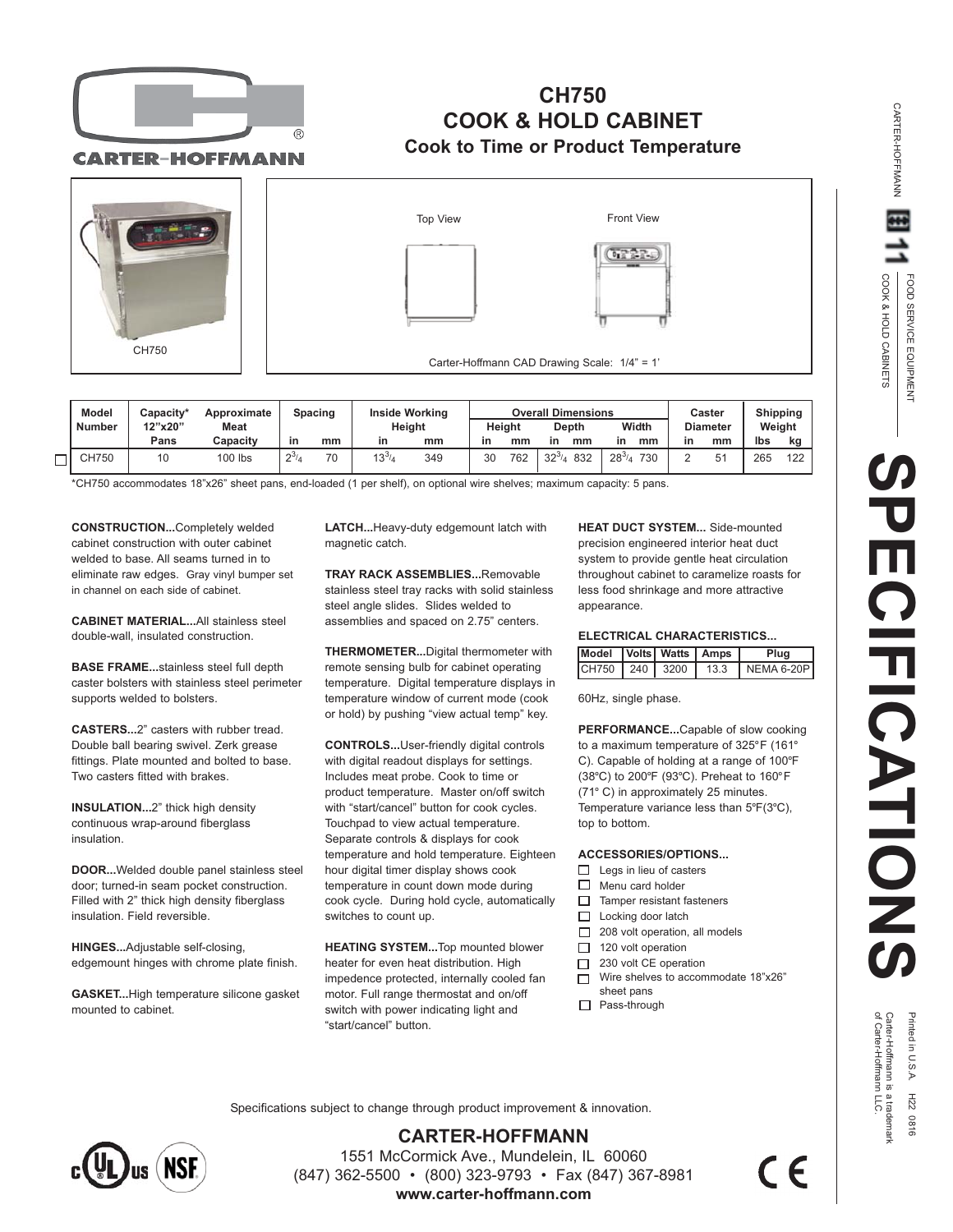

## **CH750 COOK & HOLD CABINET Cook to Time or Product Temperature**

**CARTER-HOFFMANN** 



|   | <b>Model</b> | Capacity*<br>Approximate |             |           | Spacing | <b>Inside Working</b> |     | <b>Overall Dimensions</b> |     |                 |                      | Caster          |    | <b>Shipping</b> |     |
|---|--------------|--------------------------|-------------|-----------|---------|-----------------------|-----|---------------------------|-----|-----------------|----------------------|-----------------|----|-----------------|-----|
|   | Number       | 12"x20"                  | <b>Meat</b> |           |         | Height                |     | Height                    |     | <b>Depth</b>    | Width                | <b>Diameter</b> |    | Weight          |     |
|   |              | Pans                     | Capacity    | in        | mm      | in                    | mm  | in                        | mm  | mm              | mm<br>in             | in              | mm | lbs             | kg  |
| _ | CH750        | 10                       | 100 lbs     | $2^{3/2}$ | 70      | $13^{3}$              | 349 | 30                        | 762 | 832<br>$32^{3}$ | $28^{3}/_{A}$<br>730 |                 | 51 | 265             | 122 |

\*CH750 accommodates 18"x26" sheet pans, end-loaded (1 per shelf), on optional wire shelves; maximum capacity: 5 pans.

**CONSTRUCTION...**Completely welded cabinet construction with outer cabinet welded to base. All seams turned in to eliminate raw edges. Gray vinyl bumper set in channel on each side of cabinet.

**CABINET MATERIAL...**All stainless steel double-wall, insulated construction.

**BASE FRAME...**stainless steel full depth caster bolsters with stainless steel perimeter supports welded to bolsters.

**CASTERS...**2" casters with rubber tread. Double ball bearing swivel. Zerk grease fittings. Plate mounted and bolted to base. Two casters fitted with brakes.

**INSULATION...**2" thick high density continuous wrap-around fiberglass insulation.

**DOOR...**Welded double panel stainless steel door; turned-in seam pocket construction. Filled with 2" thick high density fiberglass insulation. Field reversible.

**HINGES...**Adjustable self-closing, edgemount hinges with chrome plate finish.

**GASKET...**High temperature silicone gasket mounted to cabinet.

**LATCH...**Heavy-duty edgemount latch with magnetic catch.

**TRAY RACK ASSEMBLIES...**Removable stainless steel tray racks with solid stainless steel angle slides. Slides welded to assemblies and spaced on 2.75" centers.

**THERMOMETER...**Digital thermometer with remote sensing bulb for cabinet operating temperature. Digital temperature displays in temperature window of current mode (cook or hold) by pushing "view actual temp" key.

**CONTROLS...**User-friendly digital controls with digital readout displays for settings. Includes meat probe. Cook to time or product temperature. Master on/off switch with "start/cancel" button for cook cycles. Touchpad to view actual temperature. Separate controls & displays for cook temperature and hold temperature. Eighteen hour digital timer display shows cook temperature in count down mode during cook cycle. During hold cycle, automatically switches to count up.

**HEATING SYSTEM...**Top mounted blower heater for even heat distribution. High impedence protected, internally cooled fan motor. Full range thermostat and on/off switch with power indicating light and "start/cancel" button.

**HEAT DUCT SYSTEM...** Side-mounted precision engineered interior heat duct system to provide gentle heat circulation throughout cabinet to caramelize roasts for less food shrinkage and more attractive appearance.

## **ELECTRICAL CHARACTERISTICS...**

| Model Volts Watts   Amps |  | Plua                           |  |  |  |
|--------------------------|--|--------------------------------|--|--|--|
|                          |  | CH750 240 3200 13.3 NEMA 6-20P |  |  |  |

60Hz, single phase.

**PERFORMANCE...**Capable of slow cooking to a maximum temperature of 325°F (161° C). Capable of holding at a range of 100°F (38°C) to 200°F (93°C). Preheat to 160°F (71° C) in approximately 25 minutes. Temperature variance less than 5°F(3°C), top to bottom.

## **ACCESSORIES/OPTIONS...**

- $\Box$  Legs in lieu of casters
- $\Box$  Menu card holder
- $\Box$  Tamper resistant fasteners
- $\Box$  Locking door latch
- 208 volt operation, all models
- $\Box$  120 volt operation
- 230 volt CE operation  $\Box$
- Wire shelves to accommodate 18"x26"  $\Box$ sheet pans
- □ Pass-through

CARTER-HOFFMANN

**CARTER-HOFFMANN** 

Printed in U.S.A. H22 0816<br>Carter-Hoffmann is a trademark<br>of Carter-Hoffmann LLC.

Specifications subject to change through product improvement & innovation.



**CARTER-HOFFMANN** 1551 McCormick Ave., Mundelein, IL 60060 (847) 362-5500 • (800) 323-9793 • Fax (847) 367-8981 **www.carter-hoffmann.com**